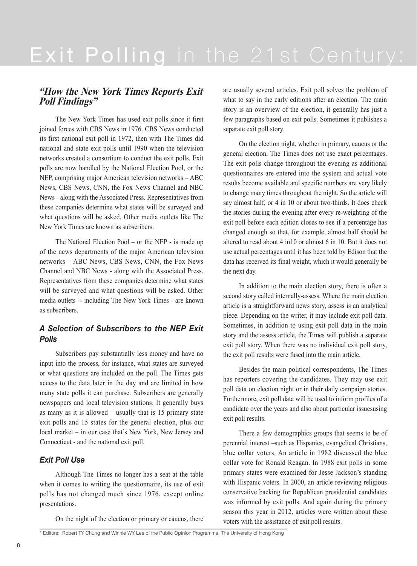## **"How the New York Times Reports Exit Poll Findings"**

The New York Times has used exit polls since it first joined forces with CBS News in 1976. CBS News conducted its first national exit poll in 1972, then with The Times did national and state exit polls until 1990 when the television networks created a consortium to conduct the exit polls. Exit polls are now handled by the National Election Pool, or the NEP, comprising major American television networks – ABC News, CBS News, CNN, the Fox News Channel and NBC News - along with the Associated Press. Representatives from these companies determine what states will be surveyed and what questions will be asked. Other media outlets like The New York Times are known as subscribers.

The National Election Pool – or the NEP - is made up of the news departments of the major American television networks – ABC News, CBS News, CNN, the Fox News Channel and NBC News - along with the Associated Press. Representatives from these companies determine what states will be surveyed and what questions will be asked. Other media outlets -- including The New York Times - are known as subscribers.

## *A Selection of Subscribers to the NEP Exit Polls*

Subscribers pay substantially less money and have no input into the process, for instance, what states are surveyed or what questions are included on the poll. The Times gets access to the data later in the day and are limited in how many state polls it can purchase. Subscribers are generally newspapers and local television stations. It generally buys as many as it is allowed – usually that is 15 primary state exit polls and 15 states for the general election, plus our local market – in our case that's New York, New Jersey and Connecticut - and the national exit poll.

## *Exit Poll Use*

Although The Times no longer has a seat at the table when it comes to writing the questionnaire, its use of exit polls has not changed much since 1976, except online presentations.

On the night of the election or primary or caucus, there

are usually several articles. Exit poll solves the problem of what to say in the early editions after an election. The main story is an overview of the election, it generally has just a few paragraphs based on exit polls. Sometimes it publishes a separate exit poll story.

On the election night, whether in primary, caucus or the general election, The Times does not use exact percentages. The exit polls change throughout the evening as additional questionnaires are entered into the system and actual vote results become available and specific numbers are very likely to change many times throughout the night. So the article will say almost half, or 4 in 10 or about two-thirds. It does check the stories during the evening after every re-weighting of the exit poll before each edition closes to see if a percentage has changed enough so that, for example, almost half should be altered to read about 4 in10 or almost 6 in 10. But it does not use actual percentages until it has been told by Edison that the data has received its final weight, which it would generally be the next day.

In addition to the main election story, there is often a second story called internally-assess. Where the main election article is a straightforward news story, assess is an analytical piece. Depending on the writer, it may include exit poll data. Sometimes, in addition to using exit poll data in the main story and the assess article, the Times will publish a separate exit poll story. When there was no individual exit poll story, the exit poll results were fused into the main article.

Besides the main political correspondents, The Times has reporters covering the candidates. They may use exit poll data on election night or in their daily campaign stories. Furthermore, exit poll data will be used to inform profiles of a candidate over the years and also about particular issuesusing exit poll results.

There a few demographics groups that seems to be of perennial interest –such as Hispanics, evangelical Christians, blue collar voters. An article in 1982 discussed the blue collar vote for Ronald Reagan. In 1988 exit polls in some primary states were examined for Jesse Jackson's standing with Hispanic voters. In 2000, an article reviewing religious conservative backing for Republican presidential candidates was informed by exit polls. And again during the primary season this year in 2012, articles were written about these voters with the assistance of exit poll results.

<sup>\*</sup> Editors: Robert TY Chung and Winnie WY Lee of the Public Opinion Programme, The University of Hong Kong